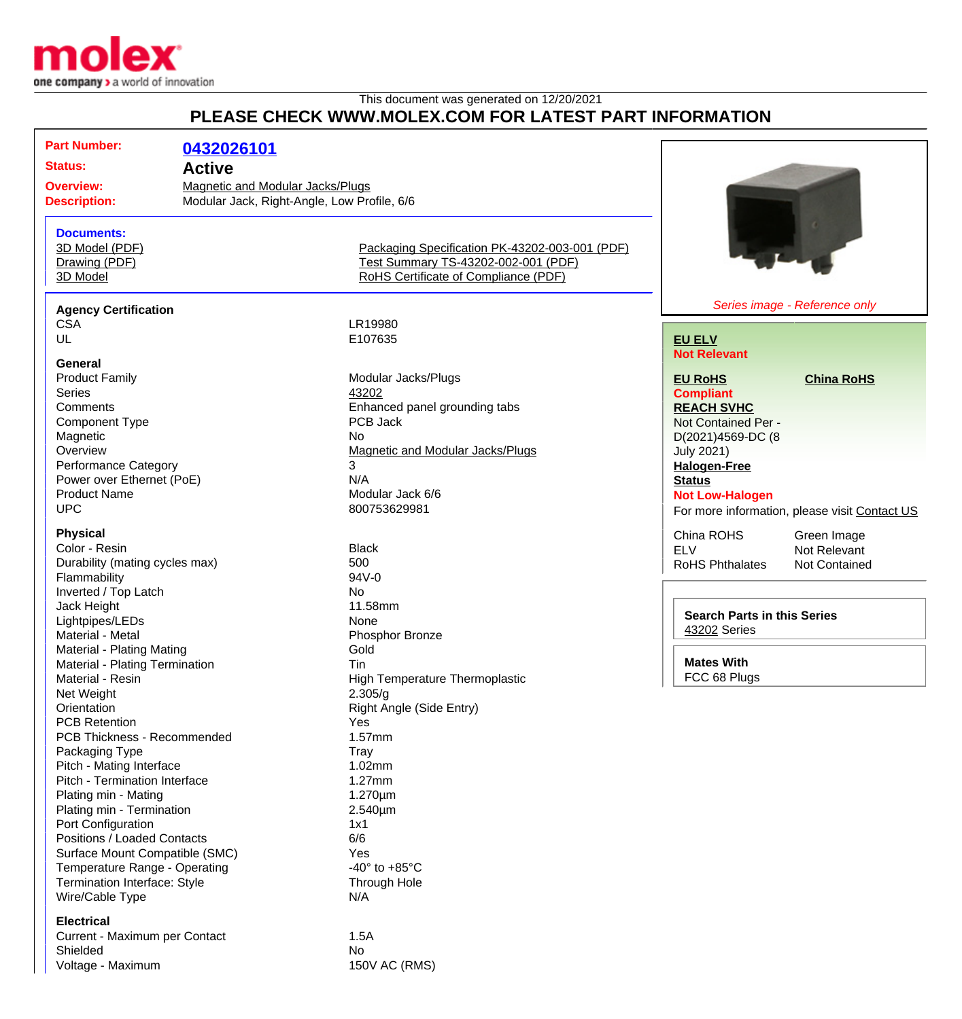

This document was generated on 12/20/2021

## **PLEASE CHECK WWW.MOLEX.COM FOR LATEST PART INFORMATION**

| <b>Part Number:</b>                                                                                           | 0432026101                     |                                                |                                               |
|---------------------------------------------------------------------------------------------------------------|--------------------------------|------------------------------------------------|-----------------------------------------------|
| <b>Status:</b><br><b>Active</b><br><b>Overview:</b>                                                           |                                |                                                |                                               |
|                                                                                                               |                                |                                                |                                               |
| <b>Magnetic and Modular Jacks/Plugs</b><br>Modular Jack, Right-Angle, Low Profile, 6/6<br><b>Description:</b> |                                |                                                |                                               |
|                                                                                                               |                                |                                                |                                               |
| <b>Documents:</b>                                                                                             |                                |                                                |                                               |
| 3D Model (PDF)                                                                                                |                                | Packaging Specification PK-43202-003-001 (PDF) |                                               |
| Drawing (PDF)                                                                                                 |                                | Test Summary TS-43202-002-001 (PDF)            |                                               |
| 3D Model                                                                                                      |                                | RoHS Certificate of Compliance (PDF)           |                                               |
|                                                                                                               |                                |                                                |                                               |
| <b>Agency Certification</b>                                                                                   |                                | LR19980                                        | Series image - Reference only                 |
| <b>CSA</b>                                                                                                    |                                |                                                |                                               |
| UL                                                                                                            |                                | E107635                                        | <b>EU ELV</b>                                 |
| <b>General</b>                                                                                                |                                |                                                | <b>Not Relevant</b>                           |
| <b>Product Family</b>                                                                                         |                                | Modular Jacks/Plugs                            | <b>EU RoHS</b><br><b>China RoHS</b>           |
| <b>Series</b>                                                                                                 |                                | 43202                                          | <b>Compliant</b>                              |
| Comments                                                                                                      |                                | Enhanced panel grounding tabs                  | <b>REACH SVHC</b>                             |
| <b>Component Type</b>                                                                                         |                                | PCB Jack                                       | Not Contained Per -                           |
| Magnetic                                                                                                      |                                | No.                                            | D(2021)4569-DC (8                             |
| Overview                                                                                                      |                                | Magnetic and Modular Jacks/Plugs               | <b>July 2021)</b>                             |
| <b>Performance Category</b>                                                                                   |                                | 3                                              | <b>Halogen-Free</b>                           |
| Power over Ethernet (PoE)                                                                                     |                                | N/A                                            | <b>Status</b>                                 |
| <b>Product Name</b>                                                                                           |                                | Modular Jack 6/6                               | <b>Not Low-Halogen</b>                        |
| <b>UPC</b>                                                                                                    |                                | 800753629981                                   | For more information, please visit Contact US |
|                                                                                                               |                                |                                                |                                               |
| <b>Physical</b>                                                                                               |                                |                                                | China ROHS<br>Green Image                     |
| Color - Resin                                                                                                 |                                | <b>Black</b>                                   | <b>ELV</b><br>Not Relevant                    |
| Durability (mating cycles max)                                                                                |                                | 500                                            | <b>RoHS Phthalates</b><br>Not Contained       |
| Flammability                                                                                                  |                                | 94V-0                                          |                                               |
| Inverted / Top Latch                                                                                          |                                | <b>No</b>                                      |                                               |
| Jack Height                                                                                                   |                                | 11.58mm                                        | <b>Search Parts in this Series</b>            |
| Lightpipes/LEDs                                                                                               |                                | None                                           | 43202 Series                                  |
| Material - Metal                                                                                              |                                | Phosphor Bronze                                |                                               |
| Material - Plating Mating                                                                                     |                                | Gold                                           |                                               |
| Material - Plating Termination                                                                                |                                | Tin                                            | <b>Mates With</b>                             |
| Material - Resin                                                                                              |                                | <b>High Temperature Thermoplastic</b>          | FCC 68 Plugs                                  |
| Net Weight                                                                                                    |                                | 2.305/g                                        |                                               |
| Orientation                                                                                                   |                                | Right Angle (Side Entry)                       |                                               |
| <b>PCB Retention</b>                                                                                          |                                | Yes                                            |                                               |
| PCB Thickness - Recommended                                                                                   |                                | 1.57mm                                         |                                               |
| Packaging Type                                                                                                |                                | Tray                                           |                                               |
| Pitch - Mating Interface                                                                                      |                                | 1.02mm                                         |                                               |
| Pitch - Termination Interface                                                                                 |                                | 1.27mm                                         |                                               |
| Plating min - Mating                                                                                          |                                | $1.270 \mu m$                                  |                                               |
| Plating min - Termination                                                                                     |                                | 2.540µm                                        |                                               |
| Port Configuration                                                                                            |                                | 1x1                                            |                                               |
| Positions / Loaded Contacts                                                                                   |                                | 6/6                                            |                                               |
|                                                                                                               | Surface Mount Compatible (SMC) | Yes                                            |                                               |
| Temperature Range - Operating                                                                                 |                                | -40 $\degree$ to +85 $\degree$ C               |                                               |
| Termination Interface: Style                                                                                  |                                | Through Hole                                   |                                               |
| Wire/Cable Type                                                                                               |                                | N/A                                            |                                               |
| <b>Electrical</b>                                                                                             |                                |                                                |                                               |
|                                                                                                               |                                | 1.5A                                           |                                               |
| Current - Maximum per Contact<br>Shielded                                                                     |                                | No                                             |                                               |
| Voltage - Maximum                                                                                             |                                | 150V AC (RMS)                                  |                                               |
|                                                                                                               |                                |                                                |                                               |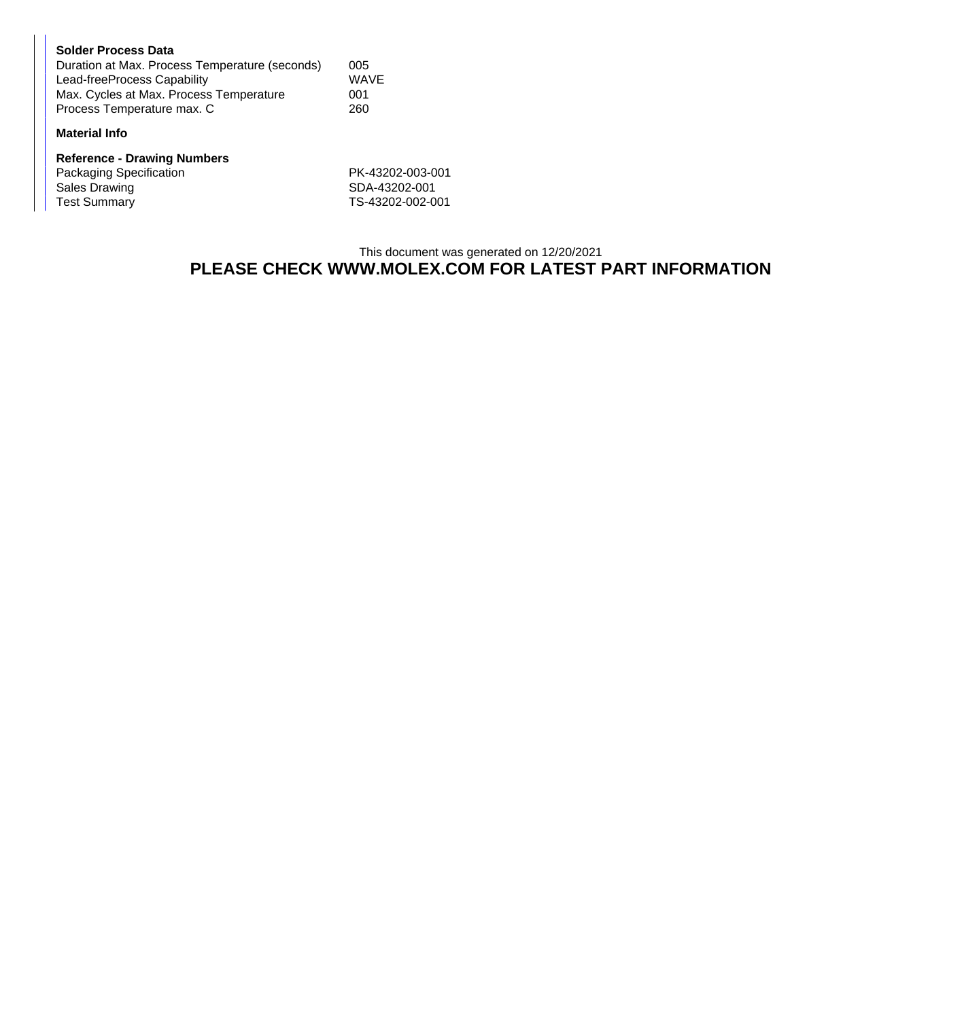| <b>Solder Process Data</b>                     |             |
|------------------------------------------------|-------------|
| Duration at Max. Process Temperature (seconds) | 005         |
| Lead-freeProcess Capability                    | <b>WAVE</b> |
| Max. Cycles at Max. Process Temperature        | 001         |
| Process Temperature max. C                     | 260         |

## **Material Info**

| <b>Reference - Drawing Numbers</b> |                  |  |  |  |
|------------------------------------|------------------|--|--|--|
| Packaging Specification            | PK-43202-003-001 |  |  |  |
| Sales Drawing                      | SDA-43202-001    |  |  |  |
| <b>Test Summary</b>                | TS-43202-002-001 |  |  |  |

## This document was generated on 12/20/2021 **PLEASE CHECK WWW.MOLEX.COM FOR LATEST PART INFORMATION**